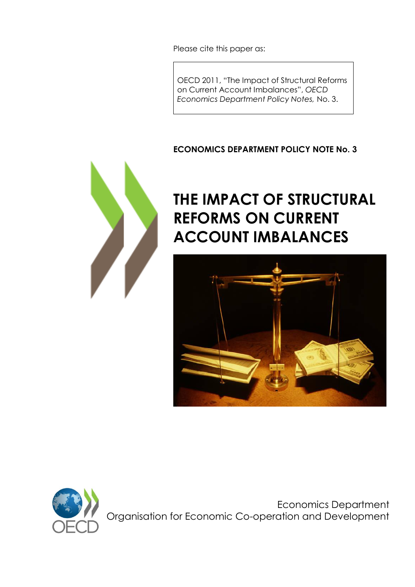Please cite this paper as:

OECD 2011, "The Impact of Structural Reforms on Current Account Imbalances", *OECD Economics Department Policy Notes,* No. 3.

# **ECONOMICS DEPARTMENT POLICY NOTE No. 3**



# **THE IMPACT OF STRUCTURAL REFORMS ON CURRENT ACCOUNT IMBALANCES**





Economics Department Organisation for Economic Co-operation and Development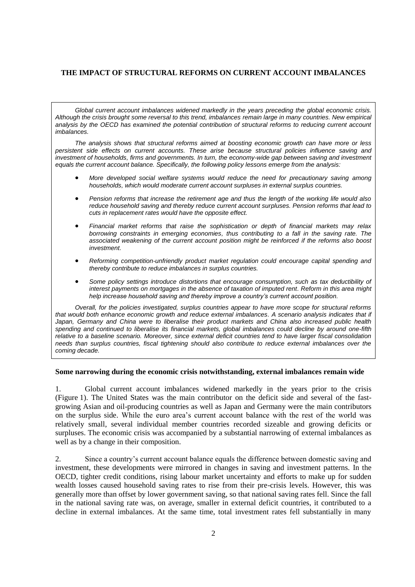# **THE IMPACT OF STRUCTURAL REFORMS ON CURRENT ACCOUNT IMBALANCES**

*Global current account imbalances widened markedly in the years preceding the global economic crisis. Although the crisis brought some reversal to this trend, imbalances remain large in many countries. New empirical*  analysis by the OECD has examined the potential contribution of structural reforms to reducing current account *imbalances.* 

*The analysis shows that structural reforms aimed at boosting economic growth can have more or less persistent side effects on current accounts. These arise because structural policies influence saving and investment of households, firms and governments. In turn, the economy-wide gap between saving and investment equals the current account balance. Specifically, the following policy lessons emerge from the analysis:*

- *More developed social welfare systems would reduce the need for precautionary saving among households, which would moderate current account surpluses in external surplus countries.*
- *Pension reforms that increase the retirement age and thus the length of the working life would also reduce household saving and thereby reduce current account surpluses. Pension reforms that lead to cuts in replacement rates would have the opposite effect.*
- *Financial market reforms that raise the sophistication or depth of financial markets may relax borrowing constraints in emerging economies, thus contributing to a fall in the saving rate. The associated weakening of the current account position might be reinforced if the reforms also boost investment.*
- *Reforming competition-unfriendly product market regulation could encourage capital spending and thereby contribute to reduce imbalances in surplus countries.*
- *Some policy settings introduce distortions that encourage consumption, such as tax deductibility of interest payments on mortgages in the absence of taxation of imputed rent. Reform in this area might help increase household saving and thereby improve a country's current account position.*

*Overall, for the policies investigated, surplus countries appear to have more scope for structural reforms*  that would both enhance economic growth and reduce external imbalances. A scenario analysis indicates that if Japan, Germany and China were to liberalise their product markets and China also increased public health *spending and continued to liberalise its financial markets, global imbalances could decline by around one-fifth relative to a baseline scenario. Moreover, since external deficit countries tend to have larger fiscal consolidation needs than surplus countries, fiscal tightening should also contribute to reduce external imbalances over the coming decade.*

## **Some narrowing during the economic crisis notwithstanding, external imbalances remain wide**

1. Global current account imbalances widened markedly in the years prior to the crisis (Figure 1). The United States was the main contributor on the deficit side and several of the fastgrowing Asian and oil-producing countries as well as Japan and Germany were the main contributors on the surplus side. While the euro area"s current account balance with the rest of the world was relatively small, several individual member countries recorded sizeable and growing deficits or surpluses. The economic crisis was accompanied by a substantial narrowing of external imbalances as well as by a change in their composition.

2. Since a country"s current account balance equals the difference between domestic saving and investment, these developments were mirrored in changes in saving and investment patterns. In the OECD, tighter credit conditions, rising labour market uncertainty and efforts to make up for sudden wealth losses caused household saving rates to rise from their pre-crisis levels. However, this was generally more than offset by lower government saving, so that national saving rates fell. Since the fall in the national saving rate was, on average, smaller in external deficit countries, it contributed to a decline in external imbalances. At the same time, total investment rates fell substantially in many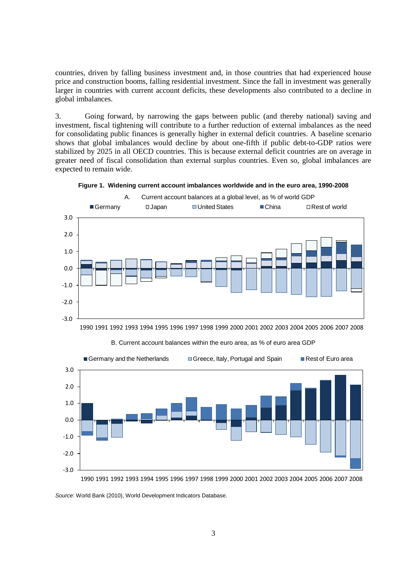countries, driven by falling business investment and, in those countries that had experienced house price and construction booms, falling residential investment. Since the fall in investment was generally larger in countries with current account deficits, these developments also contributed to a decline in global imbalances.

3. Going forward, by narrowing the gaps between public (and thereby national) saving and investment, fiscal tightening will contribute to a further reduction of external imbalances as the need for consolidating public finances is generally higher in external deficit countries. A baseline scenario shows that global imbalances would decline by about one-fifth if public debt-to-GDP ratios were stabilized by 2025 in all OECD countries. This is because external deficit countries are on average in greater need of fiscal consolidation than external surplus countries. Even so, global imbalances are expected to remain wide.





1990 1991 1992 1993 1994 1995 1996 1997 1998 1999 2000 2001 2002 2003 2004 2005 2006 2007 2008



B. Current account balances within the euro area, as % of euro area GDP

1990 1991 1992 1993 1994 1995 1996 1997 1998 1999 2000 2001 2002 2003 2004 2005 2006 2007 2008

*Source*: World Bank (2010), World Development Indicators Database.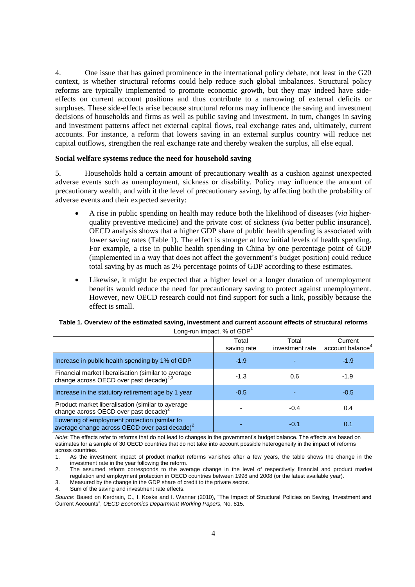4. One issue that has gained prominence in the international policy debate, not least in the G20 context, is whether structural reforms could help reduce such global imbalances. Structural policy reforms are typically implemented to promote economic growth, but they may indeed have sideeffects on current account positions and thus contribute to a narrowing of external deficits or surpluses. These side-effects arise because structural reforms may influence the saving and investment decisions of households and firms as well as public saving and investment. In turn, changes in saving and investment patterns affect net external capital flows, real exchange rates and, ultimately, current accounts. For instance, a reform that lowers saving in an external surplus country will reduce net capital outflows, strengthen the real exchange rate and thereby weaken the surplus, all else equal.

### **Social welfare systems reduce the need for household saving**

5. Households hold a certain amount of precautionary wealth as a cushion against unexpected adverse events such as unemployment, sickness or disability. Policy may influence the amount of precautionary wealth, and with it the level of precautionary saving, by affecting both the probability of adverse events and their expected severity:

- A rise in public spending on health may reduce both the likelihood of diseases (*via* higherquality preventive medicine) and the private cost of sickness (*via* better public insurance). OECD analysis shows that a higher GDP share of public health spending is associated with lower saving rates (Table 1). The effect is stronger at low initial levels of health spending. For example, a rise in public health spending in China by one percentage point of GDP (implemented in a way that does not affect the government"s budget position) could reduce total saving by as much as 2½ percentage points of GDP according to these estimates.
- Likewise, it might be expected that a higher level or a longer duration of unemployment benefits would reduce the need for precautionary saving to protect against unemployment. However, new OECD research could not find support for such a link, possibly because the effect is small.

|                                                                                                            | Total<br>saving rate | Total<br>investment rate | Current<br>account balance <sup>4</sup> |
|------------------------------------------------------------------------------------------------------------|----------------------|--------------------------|-----------------------------------------|
| Increase in public health spending by 1% of GDP                                                            | $-1.9$               |                          | $-1.9$                                  |
| Financial market liberalisation (similar to average change across OECD over past decade) <sup>2,3</sup>    | $-1.3$               | 0.6                      | $-1.9$                                  |
| Increase in the statutory retirement age by 1 year                                                         | $-0.5$               |                          | $-0.5$                                  |
| Product market liberalisation (similar to average<br>change across OECD over past decade) <sup>2</sup>     |                      | $-0.4$                   | 0.4                                     |
| Lowering of employment protection (similar to<br>average change across OECD over past decade) <sup>2</sup> |                      | -0.1                     | 0.1                                     |

### **Table 1. Overview of the estimated saving, investment and current account effects of structural reforms** Long-run impact,  $%$  of GDP<sup>1</sup>

*Note*: The effects refer to reforms that do not lead to changes in the government's budget balance. The effects are based on estimates for a sample of 30 OECD countries that do not take into account possible heterogeneity in the impact of reforms across countries.

*Source*: Based on Kerdrain, C., I. Koske and I. Wanner (2010), "The Impact of Structural Policies on Saving, Investment and Current Accounts", *OECD Economics Department Working Papers,* No. 815.

<sup>1.</sup> As the investment impact of product market reforms vanishes after a few years, the table shows the change in the investment rate in the year following the reform.

<sup>2.</sup> The assumed reform corresponds to the average change in the level of respectively financial and product market regulation and employment protection in OECD countries between 1998 and 2008 (or the latest available year).

<sup>3.</sup> Measured by the change in the GDP share of credit to the private sector.

<sup>4.</sup> Sum of the saving and investment rate effects.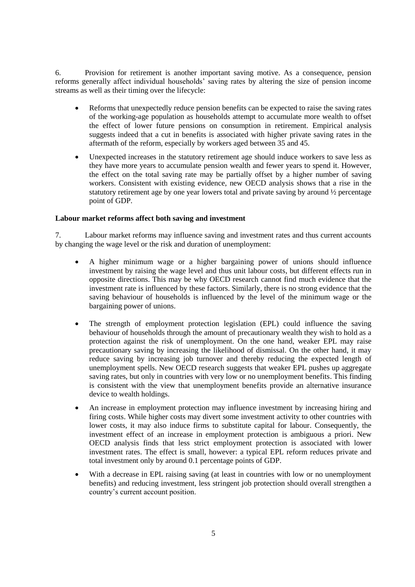6. Provision for retirement is another important saving motive. As a consequence, pension reforms generally affect individual households" saving rates by altering the size of pension income streams as well as their timing over the lifecycle:

- Reforms that unexpectedly reduce pension benefits can be expected to raise the saving rates of the working-age population as households attempt to accumulate more wealth to offset the effect of lower future pensions on consumption in retirement. Empirical analysis suggests indeed that a cut in benefits is associated with higher private saving rates in the aftermath of the reform, especially by workers aged between 35 and 45.
- Unexpected increases in the statutory retirement age should induce workers to save less as they have more years to accumulate pension wealth and fewer years to spend it. However, the effect on the total saving rate may be partially offset by a higher number of saving workers. Consistent with existing evidence, new OECD analysis shows that a rise in the statutory retirement age by one year lowers total and private saving by around ½ percentage point of GDP.

# **Labour market reforms affect both saving and investment**

7. Labour market reforms may influence saving and investment rates and thus current accounts by changing the wage level or the risk and duration of unemployment:

- A higher minimum wage or a higher bargaining power of unions should influence investment by raising the wage level and thus unit labour costs, but different effects run in opposite directions. This may be why OECD research cannot find much evidence that the investment rate is influenced by these factors. Similarly, there is no strong evidence that the saving behaviour of households is influenced by the level of the minimum wage or the bargaining power of unions.
- The strength of employment protection legislation (EPL) could influence the saving behaviour of households through the amount of precautionary wealth they wish to hold as a protection against the risk of unemployment. On the one hand, weaker EPL may raise precautionary saving by increasing the likelihood of dismissal. On the other hand, it may reduce saving by increasing job turnover and thereby reducing the expected length of unemployment spells. New OECD research suggests that weaker EPL pushes up aggregate saving rates, but only in countries with very low or no unemployment benefits. This finding is consistent with the view that unemployment benefits provide an alternative insurance device to wealth holdings.
- An increase in employment protection may influence investment by increasing hiring and firing costs. While higher costs may divert some investment activity to other countries with lower costs, it may also induce firms to substitute capital for labour. Consequently, the investment effect of an increase in employment protection is ambiguous a priori. New OECD analysis finds that less strict employment protection is associated with lower investment rates. The effect is small, however: a typical EPL reform reduces private and total investment only by around 0.1 percentage points of GDP.
- With a decrease in EPL raising saving (at least in countries with low or no unemployment benefits) and reducing investment, less stringent job protection should overall strengthen a country"s current account position.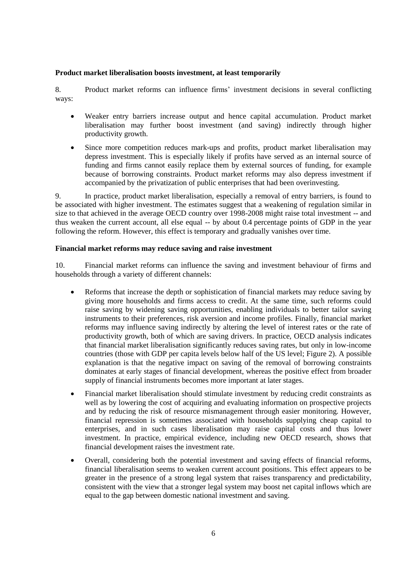# **Product market liberalisation boosts investment, at least temporarily**

8. Product market reforms can influence firms" investment decisions in several conflicting ways:

- Weaker entry barriers increase output and hence capital accumulation. Product market liberalisation may further boost investment (and saving) indirectly through higher productivity growth.
- Since more competition reduces mark-ups and profits, product market liberalisation may depress investment. This is especially likely if profits have served as an internal source of funding and firms cannot easily replace them by external sources of funding, for example because of borrowing constraints. Product market reforms may also depress investment if accompanied by the privatization of public enterprises that had been overinvesting.

9. In practice, product market liberalisation, especially a removal of entry barriers, is found to be associated with higher investment. The estimates suggest that a weakening of regulation similar in size to that achieved in the average OECD country over 1998-2008 might raise total investment -- and thus weaken the current account, all else equal -- by about 0.4 percentage points of GDP in the year following the reform. However, this effect is temporary and gradually vanishes over time.

# **Financial market reforms may reduce saving and raise investment**

10. Financial market reforms can influence the saving and investment behaviour of firms and households through a variety of different channels:

- Reforms that increase the depth or sophistication of financial markets may reduce saving by giving more households and firms access to credit. At the same time, such reforms could raise saving by widening saving opportunities, enabling individuals to better tailor saving instruments to their preferences, risk aversion and income profiles. Finally, financial market reforms may influence saving indirectly by altering the level of interest rates or the rate of productivity growth, both of which are saving drivers. In practice, OECD analysis indicates that financial market liberalisation significantly reduces saving rates, but only in low-income countries (those with GDP per capita levels below half of the US level; Figure 2). A possible explanation is that the negative impact on saving of the removal of borrowing constraints dominates at early stages of financial development, whereas the positive effect from broader supply of financial instruments becomes more important at later stages.
- Financial market liberalisation should stimulate investment by reducing credit constraints as well as by lowering the cost of acquiring and evaluating information on prospective projects and by reducing the risk of resource mismanagement through easier monitoring. However, financial repression is sometimes associated with households supplying cheap capital to enterprises, and in such cases liberalisation may raise capital costs and thus lower investment. In practice, empirical evidence, including new OECD research, shows that financial development raises the investment rate.
- Overall, considering both the potential investment and saving effects of financial reforms, financial liberalisation seems to weaken current account positions. This effect appears to be greater in the presence of a strong legal system that raises transparency and predictability, consistent with the view that a stronger legal system may boost net capital inflows which are equal to the gap between domestic national investment and saving.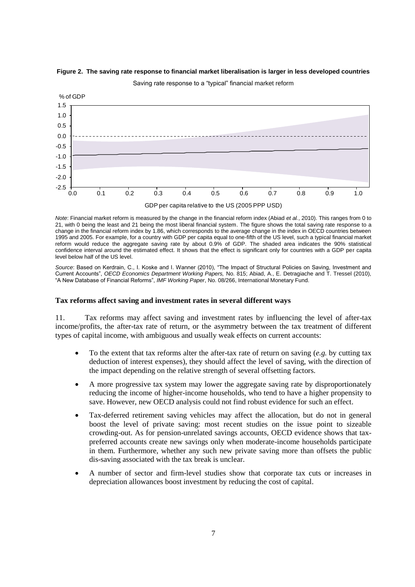

#### **Figure 2. The saving rate response to financial market liberalisation is larger in less developed countries**



*Note*: Financial market reform is measured by the change in the financial reform index (Abiad *et al.*, 2010). This ranges from 0 to 21, with 0 being the least and 21 being the most liberal financial system. The figure shows the total saving rate response to a change in the financial reform index by 1.86, which corresponds to the average change in the index in OECD countries between 1995 and 2005. For example, for a country with GDP per capita equal to one-fifth of the US level, such a typical financial market reform would reduce the aggregate saving rate by about 0.9% of GDP. The shaded area indicates the 90% statistical confidence interval around the estimated effect. It shows that the effect is significant only for countries with a GDP per capita level below half of the US level.

*Source*: Based on Kerdrain, C., I. Koske and I. Wanner (2010), "The Impact of Structural Policies on Saving, Investment and Current Accounts", *OECD Economics Department Working Papers,* No. 815; Abiad, A., E. Detragiache and T. Tressel (2010), "A New Database of Financial Reforms", *IMF Working Paper*, No. 08/266, International Monetary Fund.

#### **Tax reforms affect saving and investment rates in several different ways**

11. Tax reforms may affect saving and investment rates by influencing the level of after-tax income/profits, the after-tax rate of return, or the asymmetry between the tax treatment of different types of capital income, with ambiguous and usually weak effects on current accounts:

- To the extent that tax reforms alter the after-tax rate of return on saving (*e.g.* by cutting tax deduction of interest expenses), they should affect the level of saving, with the direction of the impact depending on the relative strength of several offsetting factors.
- A more progressive tax system may lower the aggregate saving rate by disproportionately reducing the income of higher-income households, who tend to have a higher propensity to save. However, new OECD analysis could not find robust evidence for such an effect.
- Tax-deferred retirement saving vehicles may affect the allocation, but do not in general boost the level of private saving: most recent studies on the issue point to sizeable crowding-out. As for pension-unrelated savings accounts, OECD evidence shows that taxpreferred accounts create new savings only when moderate-income households participate in them. Furthermore, whether any such new private saving more than offsets the public dis-saving associated with the tax break is unclear.
- A number of sector and firm-level studies show that corporate tax cuts or increases in depreciation allowances boost investment by reducing the cost of capital.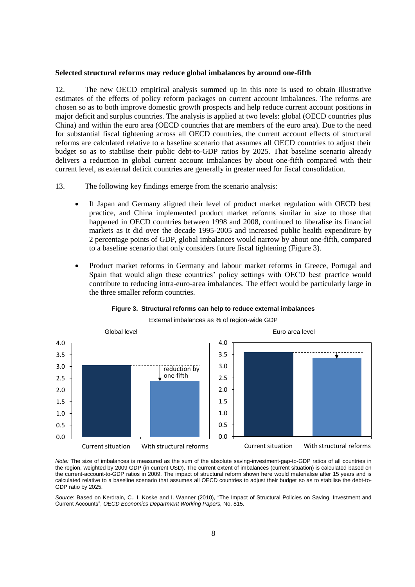#### **Selected structural reforms may reduce global imbalances by around one-fifth**

12. The new OECD empirical analysis summed up in this note is used to obtain illustrative estimates of the effects of policy reform packages on current account imbalances. The reforms are chosen so as to both improve domestic growth prospects and help reduce current account positions in major deficit and surplus countries. The analysis is applied at two levels: global (OECD countries plus China) and within the euro area (OECD countries that are members of the euro area). Due to the need for substantial fiscal tightening across all OECD countries, the current account effects of structural reforms are calculated relative to a baseline scenario that assumes all OECD countries to adjust their budget so as to stabilise their public debt-to-GDP ratios by 2025. That baseline scenario already delivers a reduction in global current account imbalances by about one-fifth compared with their current level, as external deficit countries are generally in greater need for fiscal consolidation.

13. The following key findings emerge from the scenario analysis:

- If Japan and Germany aligned their level of product market regulation with OECD best practice, and China implemented product market reforms similar in size to those that happened in OECD countries between 1998 and 2008, continued to liberalise its financial markets as it did over the decade 1995-2005 and increased public health expenditure by 2 percentage points of GDP, global imbalances would narrow by about one-fifth, compared to a baseline scenario that only considers future fiscal tightening (Figure 3).
- Product market reforms in Germany and labour market reforms in Greece, Portugal and Spain that would align these countries" policy settings with OECD best practice would contribute to reducing intra-euro-area imbalances. The effect would be particularly large in the three smaller reform countries.



#### **Figure 3. Structural reforms can help to reduce external imbalances**

External imbalances as % of region-wide GDP

*Note:* The size of imbalances is measured as the sum of the absolute saving-investment-gap-to-GDP ratios of all countries in the region, weighted by 2009 GDP (in current USD). The current extent of imbalances (current situation) is calculated based on the current-account-to-GDP ratios in 2009. The impact of structural reform shown here would materialise after 15 years and is calculated relative to a baseline scenario that assumes all OECD countries to adjust their budget so as to stabilise the debt-to-GDP ratio by 2025.

*Source*: Based on Kerdrain, C., I. Koske and I. Wanner (2010), "The Impact of Structural Policies on Saving, Investment and Current Accounts", *OECD Economics Department Working Papers,* No. 815.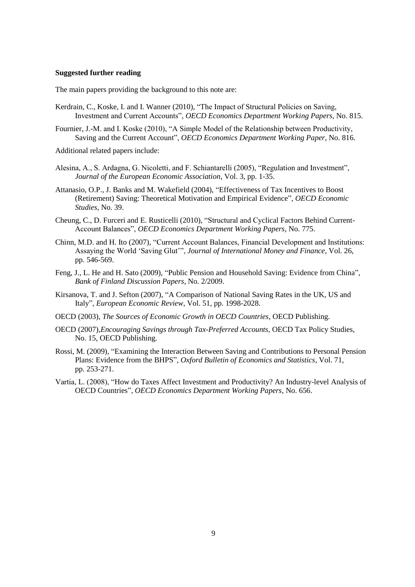## **Suggested further reading**

The main papers providing the background to this note are:

- Kerdrain, C., Koske, I. and I. Wanner (2010), "The Impact of Structural Policies on Saving, Investment and Current Accounts", *OECD Economics Department Working Papers*, No. 815.
- Fournier, J.-M. and I. Koske (2010), "A Simple Model of the Relationship between Productivity, Saving and the Current Account", *OECD Economics Department Working Paper*, No. 816.
- Additional related papers include:
- Alesina, A., S. Ardagna, G. Nicoletti, and F. Schiantarelli (2005), "Regulation and Investment", *Journal of the European Economic Association*, Vol. 3, pp. 1-35.
- Attanasio, O.P., J. Banks and M. Wakefield (2004), "Effectiveness of Tax Incentives to Boost (Retirement) Saving: Theoretical Motivation and Empirical Evidence", *OECD Economic Studies*, No. 39.
- Cheung, C., D. Furceri and E. Rusticelli (2010), "Structural and Cyclical Factors Behind Current-Account Balances", *OECD Economics Department Working Papers*, No. 775.
- Chinn, M.D. and H. Ito (2007), "Current Account Balances, Financial Development and Institutions: Assaying the World "Saving Glut"", *Journal of International Money and Finance*, Vol. 26, pp. 546-569.
- Feng, J., L. He and H. Sato (2009), "Public Pension and Household Saving: Evidence from China", *Bank of Finland Discussion Papers*, No. 2/2009.
- Kirsanova, T. and J. Sefton (2007), "A Comparison of National Saving Rates in the UK, US and Italy", *European Economic Review*, Vol. 51, pp. 1998-2028.
- OECD (2003), *The Sources of Economic Growth in OECD Countries*, OECD Publishing.
- OECD (2007),*Encouraging Savings through Tax-Preferred Accounts*, OECD Tax Policy Studies, No. 15, OECD Publishing.
- Rossi, M. (2009), "Examining the Interaction Between Saving and Contributions to Personal Pension Plans: Evidence from the BHPS", *Oxford Bulletin of Economics and Statistics*, Vol. 71, pp. 253-271.
- Vartia, L. (2008), ["How do Taxes Affect Investment and Productivity? An Industry-level Analysis of](http://ideas.repec.org/p/oec/ecoaaa/656-en.html)  [OECD Countries"](http://ideas.repec.org/p/oec/ecoaaa/656-en.html), *[OECD Economics Department Working Papers](http://ideas.repec.org/s/oec/ecoaaa.html)*, No. 656.